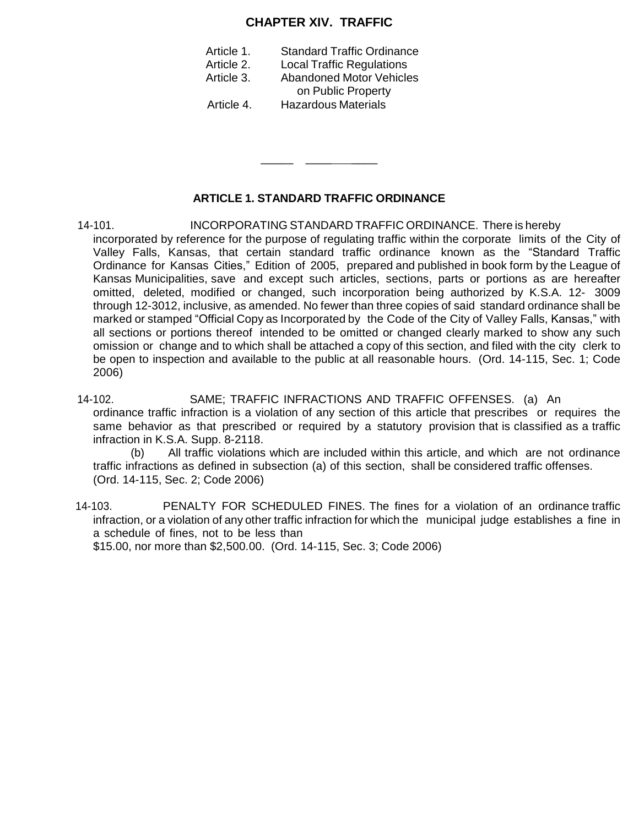## **CHAPTER XIV. TRAFFIC**

| Article 1. | <b>Standard Traffic Ordinance</b> |
|------------|-----------------------------------|
| Article 2. | <b>Local Traffic Regulations</b>  |
| Article 3. | <b>Abandoned Motor Vehicles</b>   |
|            | on Public Property                |
| Article 4. | <b>Hazardous Materials</b>        |

## **ARTICLE 1. STANDARD TRAFFIC ORDINANCE**

\_\_\_\_\_ \_\_\_\_ \_\_\_\_

- 14-101. INCORPORATING STANDARD TRAFFIC ORDINANCE. There is hereby incorporated by reference for the purpose of regulating traffic within the corporate limits of the City of Valley Falls, Kansas, that certain standard traffic ordinance known as the "Standard Traffic Ordinance for Kansas Cities," Edition of 2005, prepared and published in book form by the League of Kansas Municipalities, save and except such articles, sections, parts or portions as are hereafter omitted, deleted, modified or changed, such incorporation being authorized by K.S.A. 12- 3009 through 12-3012, inclusive, as amended. No fewer than three copies of said standard ordinance shall be marked or stamped "Official Copy as Incorporated by the Code of the City of Valley Falls, Kansas," with all sections or portions thereof intended to be omitted or changed clearly marked to show any such omission or change and to which shall be attached a copy of this section, and filed with the city clerk to be open to inspection and available to the public at all reasonable hours. (Ord. 14-115, Sec. 1; Code 2006)
- 14-102. SAME; TRAFFIC INFRACTIONS AND TRAFFIC OFFENSES. (a) An ordinance traffic infraction is a violation of any section of this article that prescribes or requires the same behavior as that prescribed or required by a statutory provision that is classified as a traffic infraction in K.S.A. Supp. 8-2118.

(b) All traffic violations which are included within this article, and which are not ordinance traffic infractions as defined in subsection (a) of this section, shall be considered traffic offenses. (Ord. 14-115, Sec. 2; Code 2006)

 14-103. PENALTY FOR SCHEDULED FINES. The fines for a violation of an ordinance traffic infraction, or a violation of any other traffic infraction for which the municipal judge establishes a fine in a schedule of fines, not to be less than

\$15.00, nor more than \$2,500.00. (Ord. 14-115, Sec. 3; Code 2006)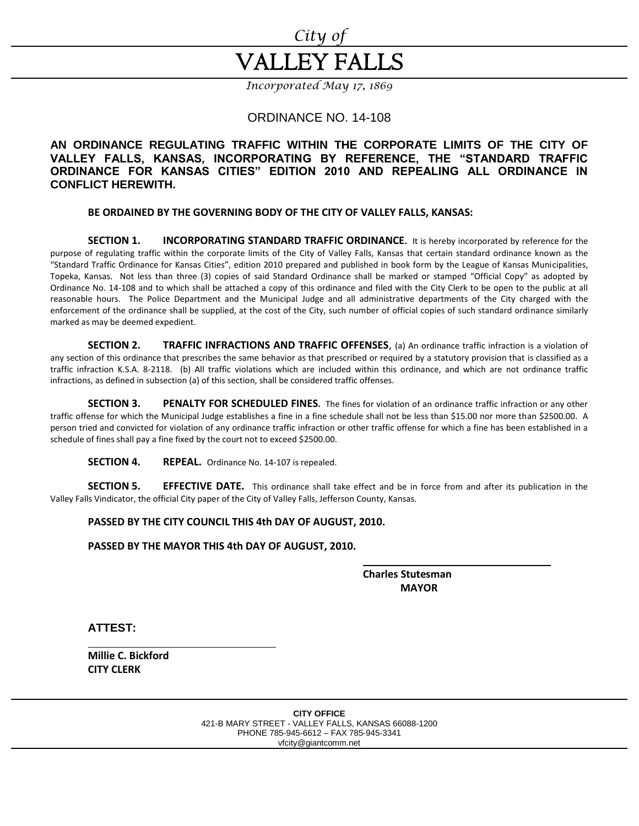## *City of* VALLEY FALLS

*Incorporated May 17, 1869*

## ORDINANCE NO. 14-108

## **AN ORDINANCE REGULATING TRAFFIC WITHIN THE CORPORATE LIMITS OF THE CITY OF VALLEY FALLS, KANSAS, INCORPORATING BY REFERENCE, THE "STANDARD TRAFFIC ORDINANCE FOR KANSAS CITIES" EDITION 2010 AND REPEALING ALL ORDINANCE IN CONFLICT HEREWITH.**

**BE ORDAINED BY THE GOVERNING BODY OF THE CITY OF VALLEY FALLS, KANSAS:**

**SECTION 1. INCORPORATING STANDARD TRAFFIC ORDINANCE.** It is hereby incorporated by reference for the purpose of regulating traffic within the corporate limits of the City of Valley Falls, Kansas that certain standard ordinance known as the "Standard Traffic Ordinance for Kansas Cities", edition 2010 prepared and published in book form by the League of Kansas Municipalities, Topeka, Kansas. Not less than three (3) copies of said Standard Ordinance shall be marked or stamped "Official Copy" as adopted by Ordinance No. 14-108 and to which shall be attached a copy of this ordinance and filed with the City Clerk to be open to the public at all reasonable hours. The Police Department and the Municipal Judge and all administrative departments of the City charged with the enforcement of the ordinance shall be supplied, at the cost of the City, such number of official copies of such standard ordinance similarly marked as may be deemed expedient.

**SECTION 2. TRAFFIC INFRACTIONS AND TRAFFIC OFFENSES**, (a) An ordinance traffic infraction is a violation of any section of this ordinance that prescribes the same behavior as that prescribed or required by a statutory provision that is classified as a traffic infraction K.S.A. 8-2118. (b) All traffic violations which are included within this ordinance, and which are not ordinance traffic infractions, as defined in subsection (a) of this section, shall be considered traffic offenses.

**SECTION 3. PENALTY FOR SCHEDULED FINES.** The fines for violation of an ordinance traffic infraction or any other traffic offense for which the Municipal Judge establishes a fine in a fine schedule shall not be less than \$15.00 nor more than \$2500.00. A person tried and convicted for violation of any ordinance traffic infraction or other traffic offense for which a fine has been established in a schedule of fines shall pay a fine fixed by the court not to exceed \$2500.00.

**SECTION 4. REPEAL.** Ordinance No. 14-107 is repealed.

**SECTION 5. EFFECTIVE DATE.** This ordinance shall take effect and be in force from and after its publication in the Valley Falls Vindicator, the official City paper of the City of Valley Falls, Jefferson County, Kansas.

**PASSED BY THE CITY COUNCIL THIS 4th DAY OF AUGUST, 2010.**

**PASSED BY THE MAYOR THIS 4th DAY OF AUGUST, 2010.**

**Charles Stutesman MAYOR**

**ATTEST:**

**Millie C. Bickford CITY CLERK**

> **CITY OFFICE** 421-B MARY STREET - VALLEY FALLS, KANSAS 66088-1200 PHONE 785-945-6612 – FAX 785-945-3341 vfcity@giantcomm.net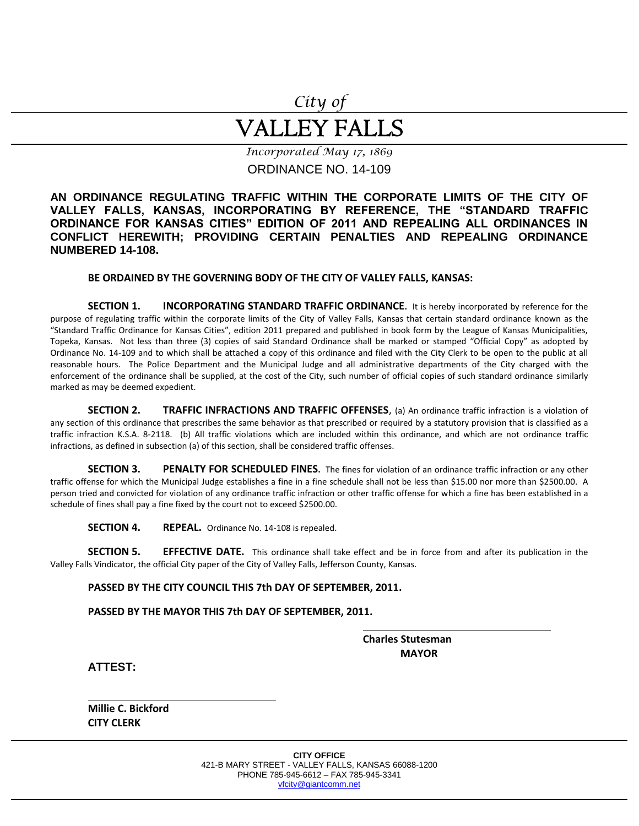## *City of*

## VALLEY FALLS

## *Incorporated May 17, 1869* ORDINANCE NO. 14-109

**AN ORDINANCE REGULATING TRAFFIC WITHIN THE CORPORATE LIMITS OF THE CITY OF VALLEY FALLS, KANSAS, INCORPORATING BY REFERENCE, THE "STANDARD TRAFFIC ORDINANCE FOR KANSAS CITIES" EDITION OF 2011 AND REPEALING ALL ORDINANCES IN CONFLICT HEREWITH; PROVIDING CERTAIN PENALTIES AND REPEALING ORDINANCE NUMBERED 14-108.**

**BE ORDAINED BY THE GOVERNING BODY OF THE CITY OF VALLEY FALLS, KANSAS:**

**SECTION 1. INCORPORATING STANDARD TRAFFIC ORDINANCE**. It is hereby incorporated by reference for the purpose of regulating traffic within the corporate limits of the City of Valley Falls, Kansas that certain standard ordinance known as the "Standard Traffic Ordinance for Kansas Cities", edition 2011 prepared and published in book form by the League of Kansas Municipalities, Topeka, Kansas. Not less than three (3) copies of said Standard Ordinance shall be marked or stamped "Official Copy" as adopted by Ordinance No. 14-109 and to which shall be attached a copy of this ordinance and filed with the City Clerk to be open to the public at all reasonable hours. The Police Department and the Municipal Judge and all administrative departments of the City charged with the enforcement of the ordinance shall be supplied, at the cost of the City, such number of official copies of such standard ordinance similarly marked as may be deemed expedient.

**SECTION 2. TRAFFIC INFRACTIONS AND TRAFFIC OFFENSES**, (a) An ordinance traffic infraction is a violation of any section of this ordinance that prescribes the same behavior as that prescribed or required by a statutory provision that is classified as a traffic infraction K.S.A. 8-2118. (b) All traffic violations which are included within this ordinance, and which are not ordinance traffic infractions, as defined in subsection (a) of this section, shall be considered traffic offenses.

**SECTION 3. PENALTY FOR SCHEDULED FINES.** The fines for violation of an ordinance traffic infraction or any other traffic offense for which the Municipal Judge establishes a fine in a fine schedule shall not be less than \$15.00 nor more than \$2500.00. A person tried and convicted for violation of any ordinance traffic infraction or other traffic offense for which a fine has been established in a schedule of fines shall pay a fine fixed by the court not to exceed \$2500.00.

**SECTION 4. REPEAL.** Ordinance No. 14-108 is repealed.

**SECTION 5. EFFECTIVE DATE.** This ordinance shall take effect and be in force from and after its publication in the Valley Falls Vindicator, the official City paper of the City of Valley Falls, Jefferson County, Kansas.

**PASSED BY THE CITY COUNCIL THIS 7th DAY OF SEPTEMBER, 2011.**

**PASSED BY THE MAYOR THIS 7th DAY OF SEPTEMBER, 2011.**

**Charles Stutesman MAYOR**

**ATTEST:**

**Millie C. Bickford CITY CLERK**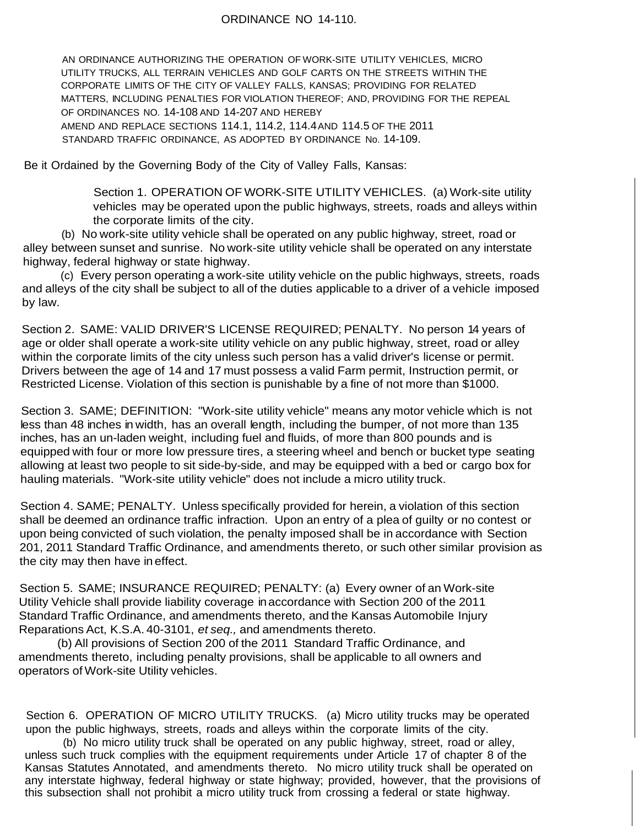AN ORDINANCE AUTHORIZING THE OPERATION OF WORK-SITE UTILITY VEHICLES, MICRO UTILITY TRUCKS, ALL TERRAIN VEHICLES AND GOLF CARTS ON THE STREETS WITHIN THE CORPORATE LIMITS OF THE CITY OF VALLEY FALLS, KANSAS; PROVIDING FOR RELATED MATTERS, INCLUDING PENALTIES FOR VIOLATION THEREOF; AND, PROVIDING FOR THE REPEAL OF ORDINANCES NO. 14-108 AND 14-207 AND HEREBY AMEND AND REPLACE SECTIONS 114.1, 114.2, 114.4AND 114.5 OF THE 2011 STANDARD TRAFFIC ORDINANCE, AS ADOPTED BY ORDINANCE No. 14-109.

Be it Ordained by the Governing Body of the City of Valley Falls, Kansas:

Section 1. OPERATION OF WORK-SITE UTILITY VEHICLES. (a) Work-site utility vehicles may be operated upon the public highways, streets, roads and alleys within the corporate limits of the city.

(b) No work-site utility vehicle shall be operated on any public highway, street, road or alley between sunset and sunrise. No work-site utility vehicle shall be operated on any interstate highway, federal highway or state highway.

(c) Every person operating a work-site utility vehicle on the public highways, streets, roads and alleys of the city shall be subject to all of the duties applicable to a driver of a vehicle imposed by law.

Section 2. SAME: VALID DRIVER'S LICENSE REQUIRED; PENALTY. No person 14 years of age or older shall operate a work-site utility vehicle on any public highway, street, road or alley within the corporate limits of the city unless such person has a valid driver's license or permit. Drivers between the age of 14 and 17 must possess a valid Farm permit, Instruction permit, or Restricted License. Violation of this section is punishable by a fine of not more than \$1000.

Section 3. SAME; DEFINITION: "Work-site utility vehicle" means any motor vehicle which is not less than 48 inches in width, has an overall length, including the bumper, of not more than 135 inches, has an un-laden weight, including fuel and fluids, of more than 800 pounds and is equipped with four or more low pressure tires, a steering wheel and bench or bucket type seating allowing at least two people to sit side-by-side, and may be equipped with a bed or cargo box for hauling materials. "Work-site utility vehicle" does not include a micro utility truck.

Section 4. SAME; PENALTY. Unless specifically provided for herein, a violation of this section shall be deemed an ordinance traffic infraction. Upon an entry of a plea of guilty or no contest or upon being convicted of such violation, the penalty imposed shall be in accordance with Section 201, 2011 Standard Traffic Ordinance, and amendments thereto, or such other similar provision as the city may then have in effect.

Section 5. SAME; INSURANCE REQUIRED; PENALTY: (a) Every owner of an Work-site Utility Vehicle shall provide liability coverage inaccordance with Section 200 of the 2011 Standard Traffic Ordinance, and amendments thereto, and the Kansas Automobile Injury Reparations Act, K.S.A. 40-3101, *et seq.,* and amendments thereto.

(b) All provisions of Section 200 of the 2011 Standard Traffic Ordinance, and amendments thereto, including penalty provisions, shall be applicable to all owners and operators of Work-site Utility vehicles.

Section 6. OPERATION OF MICRO UTILITY TRUCKS. (a) Micro utility trucks may be operated upon the public highways, streets, roads and alleys within the corporate limits of the city.

(b) No micro utility truck shall be operated on any public highway, street, road or alley, unless such truck complies with the equipment requirements under Article 17 of chapter 8 of the Kansas Statutes Annotated, and amendments thereto. No micro utility truck shall be operated on any interstate highway, federal highway or state highway; provided, however, that the provisions of this subsection shall not prohibit a micro utility truck from crossing a federal or state highway.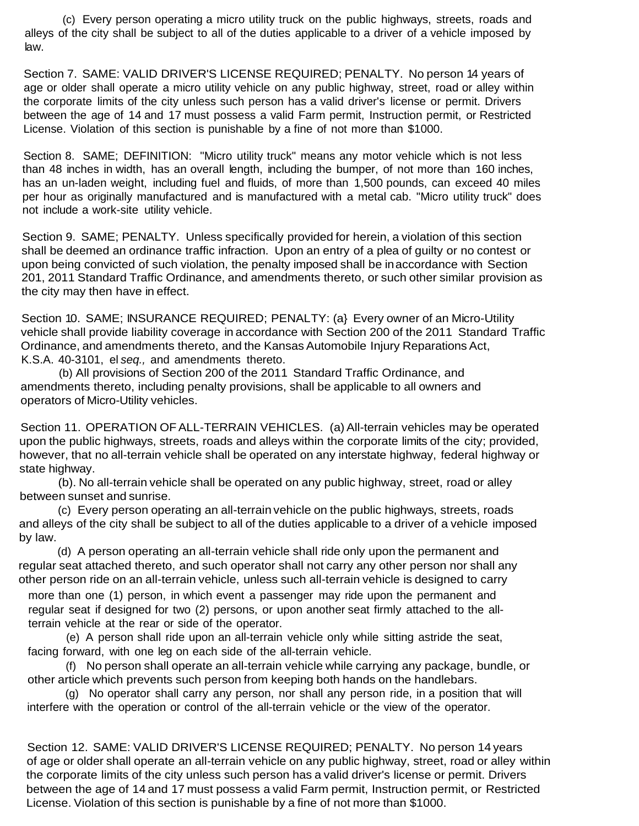(c) Every person operating a micro utility truck on the public highways, streets, roads and alleys of the city shall be subject to all of the duties applicable to a driver of a vehicle imposed by law.

Section 7. SAME: VALID DRIVER'S LICENSE REQUIRED; PENALTY. No person 14 years of age or older shall operate a micro utility vehicle on any public highway, street, road or alley within the corporate limits of the city unless such person has a valid driver's license or permit. Drivers between the age of 14 and 17 must possess a valid Farm permit, Instruction permit, or Restricted License. Violation of this section is punishable by a fine of not more than \$1000.

Section 8. SAME; DEFINITION: "Micro utility truck" means any motor vehicle which is not less than 48 inches in width, has an overall length, including the bumper, of not more than 160 inches, has an un-laden weight, including fuel and fluids, of more than 1,500 pounds, can exceed 40 miles per hour as originally manufactured and is manufactured with a metal cab. "Micro utility truck" does not include a work-site utility vehicle.

Section 9. SAME; PENALTY. Unless specifically provided for herein, a violation of this section shall be deemed an ordinance traffic infraction. Upon an entry of a plea of guilty or no contest or upon being convicted of such violation, the penalty imposed shall be inaccordance with Section 201, 2011 Standard Traffic Ordinance, and amendments thereto, or such other similar provision as the city may then have in effect.

Section 10. SAME; INSURANCE REQUIRED; PENALTY: (a} Every owner of an Micro-Utility vehicle shall provide liability coverage in accordance with Section 200 of the 2011 Standard Traffic Ordinance, and amendments thereto, and the Kansas Automobile Injury Reparations Act, K.S.A. 40-3101, el *seq.,* and amendments thereto.

(b) All provisions of Section 200 of the 2011 Standard Traffic Ordinance, and amendments thereto, including penalty provisions, shall be applicable to all owners and operators of Micro-Utility vehicles.

Section 11. OPERATION OF ALL-TERRAIN VEHICLES. (a) All-terrain vehicles may be operated upon the public highways, streets, roads and alleys within the corporate limits of the city; provided, however, that no all-terrain vehicle shall be operated on any interstate highway, federal highway or state highway.

(b). No all-terrain vehicle shall be operated on any public highway, street, road or alley between sunset and sunrise.

(c) Every person operating an all-terrain vehicle on the public highways, streets, roads and alleys of the city shall be subject to all of the duties applicable to a driver of a vehicle imposed by law.

(d) A person operating an all-terrain vehicle shall ride only upon the permanent and regular seat attached thereto, and such operator shall not carry any other person nor shall any other person ride on an all-terrain vehicle, unless such all-terrain vehicle is designed to carry more than one (1) person, in which event a passenger may ride upon the permanent and regular seat if designed for two (2) persons, or upon another seat firmly attached to the allterrain vehicle at the rear or side of the operator.

(e) A person shall ride upon an all-terrain vehicle only while sitting astride the seat, facing forward, with one leg on each side of the all-terrain vehicle.

(f) No person shall operate an all-terrain vehicle while carrying any package, bundle, or other article which prevents such person from keeping both hands on the handlebars.

(g) No operator shall carry any person, nor shall any person ride, in a position that will interfere with the operation or control of the all-terrain vehicle or the view of the operator.

Section 12. SAME: VALID DRIVER'S LICENSE REQUIRED; PENALTY. No person 14 years of age or older shall operate an all-terrain vehicle on any public highway, street, road or alley within the corporate limits of the city unless such person has a valid driver's license or permit. Drivers between the age of 14 and 17 must possess a valid Farm permit, Instruction permit, or Restricted License. Violation of this section is punishable by a fine of not more than \$1000.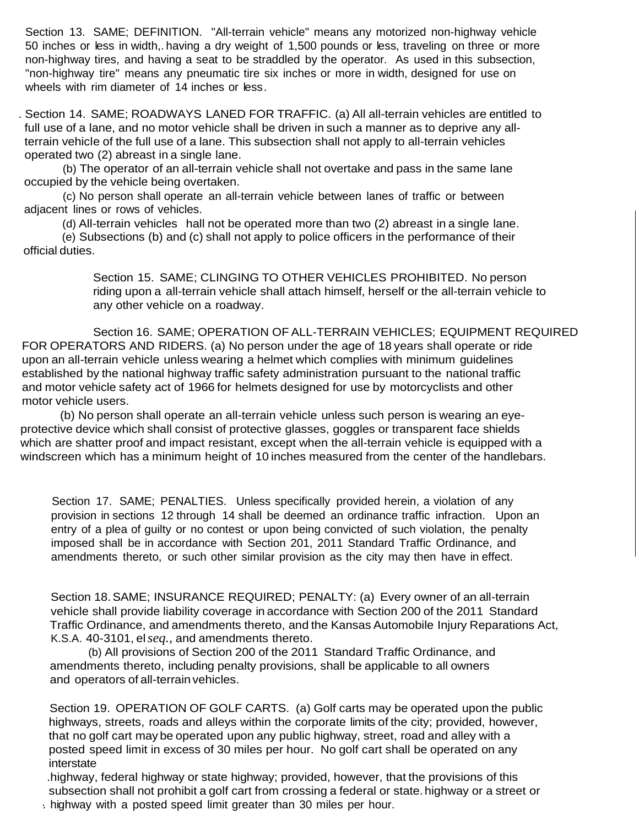Section 13. SAME; DEFINITION. "All-terrain vehicle" means any motorized non-highway vehicle 50 inches or less in width,. having a dry weight of 1,500 pounds or less, traveling on three or more non-highway tires, and having a seat to be straddled by the operator. As used in this subsection, "non-highway tire" means any pneumatic tire six inches or more in width, designed for use on wheels with rim diameter of 14 inches or less.

Section 14. SAME; ROADWAYS LANED FOR TRAFFIC. (a) All all-terrain vehicles are entitled to full use of a lane, and no motor vehicle shall be driven in such a manner as to deprive any allterrain vehicle of the full use of a lane. This subsection shall not apply to all-terrain vehicles operated two (2) abreast in a single lane.

(b) The operator of an all-terrain vehicle shall not overtake and pass in the same lane occupied by the vehicle being overtaken.

(c) No person shall operate an all-terrain vehicle between lanes of traffic or between adjacent lines or rows of vehicles.

(d) All-terrain vehicles hall not be operated more than two (2) abreast in a single lane.

(e) Subsections (b) and (c) shall not apply to police officers in the performance of their official duties.

> Section 15. SAME; CLINGING TO OTHER VEHICLES PROHIBITED. No person riding upon a all-terrain vehicle shall attach himself, herself or the all-terrain vehicle to any other vehicle on a roadway.

Section 16. SAME; OPERATION OFALL-TERRAIN VEHICLES; EQUIPMENT REQUIRED FOR OPERATORS AND RIDERS. (a) No person under the age of 18 years shall operate or ride upon an all-terrain vehicle unless wearing a helmet which complies with minimum guidelines established by the national highway traffic safety administration pursuant to the national traffic and motor vehicle safety act of 1966 for helmets designed for use by motorcyclists and other motor vehicle users.

(b) No person shall operate an all-terrain vehicle unless such person is wearing an eyeprotective device which shall consist of protective glasses, goggles or transparent face shields which are shatter proof and impact resistant, except when the all-terrain vehicle is equipped with a windscreen which has a minimum height of 10 inches measured from the center of the handlebars.

Section 17. SAME; PENALTIES. Unless specifically provided herein, a violation of any provision in sections 12 through 14 shall be deemed an ordinance traffic infraction. Upon an entry of a plea of guilty or no contest or upon being convicted of such violation, the penalty imposed shall be in accordance with Section 201, 2011 Standard Traffic Ordinance, and amendments thereto, or such other similar provision as the city may then have in effect.

Section 18.SAME; INSURANCE REQUIRED; PENALTY: (a) Every owner of an all-terrain vehicle shall provide liability coverage in accordance with Section 200 of the 2011 Standard Traffic Ordinance, and amendments thereto, and the Kansas Automobile Injury Reparations Act, K.S.A. 40-3101, el*seq.,* and amendments thereto.

(b) All provisions of Section 200 of the 2011 Standard Traffic Ordinance, and amendments thereto, including penalty provisions, shall be applicable to all owners and operators of all-terrain vehicles.

Section 19. OPERATION OF GOLF CARTS. (a) Golf carts may be operated upon the public highways, streets, roads and alleys within the corporate limits of the city; provided, however, that no golf cart may be operated upon any public highway, street, road and alley with a posted speed limit in excess of 30 miles per hour. No golf cart shall be operated on any interstate

.highway, federal highway or state highway; provided, however, that the provisions of this subsection shall not prohibit a golf cart from crossing a federal or state.highway or a street or ·. highway with a posted speed limit greater than 30 miles per hour.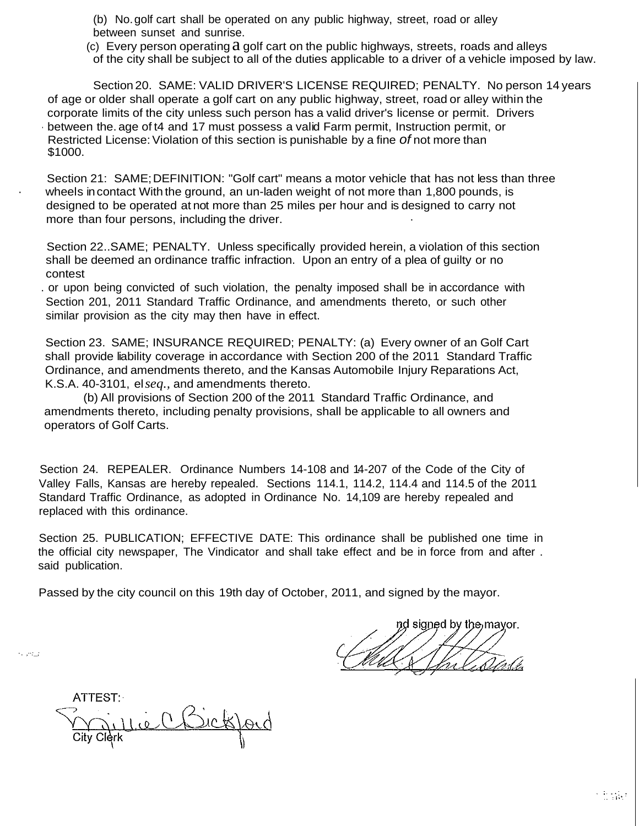(b) No.golf cart shall be operated on any public highway, street, road or alley between sunset and sunrise.

(c) Every person operating a golf cart on the public highways, streets, roads and alleys of the city shall be subject to all of the duties applicable to a driver of a vehicle imposed by law.

Section 20. SAME: VALID DRIVER'S LICENSE REQUIRED; PENALTY. No person 14 years of age or older shall operate a golf cart on any public highway, street, road or alley within the corporate limits of the city unless such person has a valid driver's license or permit. Drivers · between the. age of t4 and 17 must possess a valid Farm permit, Instruction permit, or Restricted License:Violation of this section is punishable by a fine *of* not more than \$1000.

Section 21: SAME; DEFINITION: "Golf cart" means a motor vehicle that has not less than three wheels in contact With the ground, an un-laden weight of not more than 1,800 pounds, is designed to be operated at not more than 25 miles per hour and is designed to carry not more than four persons, including the driver.

Section 22..SAME; PENALTY. Unless specifically provided herein, a violation of this section shall be deemed an ordinance traffic infraction. Upon an entry of a plea of guilty or no contest

. or upon being convicted of such violation, the penalty imposed shall be in accordance with Section 201, 2011 Standard Traffic Ordinance, and amendments thereto, or such other similar provision as the city may then have in effect.

Section 23. SAME; INSURANCE REQUIRED; PENALTY: (a) Every owner of an Golf Cart shall provide liability coverage in accordance with Section 200 of the 2011 Standard Traffic Ordinance, and amendments thereto, and the Kansas Automobile Injury Reparations Act, K.S.A. 40-3101, el*seq.,* and amendments thereto.

(b) All provisions of Section 200 of the 2011 Standard Traffic Ordinance, and amendments thereto, including penalty provisions, shall be applicable to all owners and operators of Golf Carts.

Section 24. REPEALER. Ordinance Numbers 14-108 and 14-207 of the Code of the City of Valley Falls, Kansas are hereby repealed. Sections 114.1, 114.2, 114.4 and 114.5 of the 2011 Standard Traffic Ordinance, as adopted in Ordinance No. 14,109 are hereby repealed and replaced with this ordinance.

Section 25. PUBLICATION; EFFECTIVE DATE: This ordinance shall be published one time in the official city newspaper, The Vindicator and shall take effect and be in force from and after . said publication.

Passed by the city council on this 19th day of October, 2011, and signed by the mayor.

id signed by the mayor.

ATTEST<sup>.</sup> MicCBickford

·. *,··:\_;*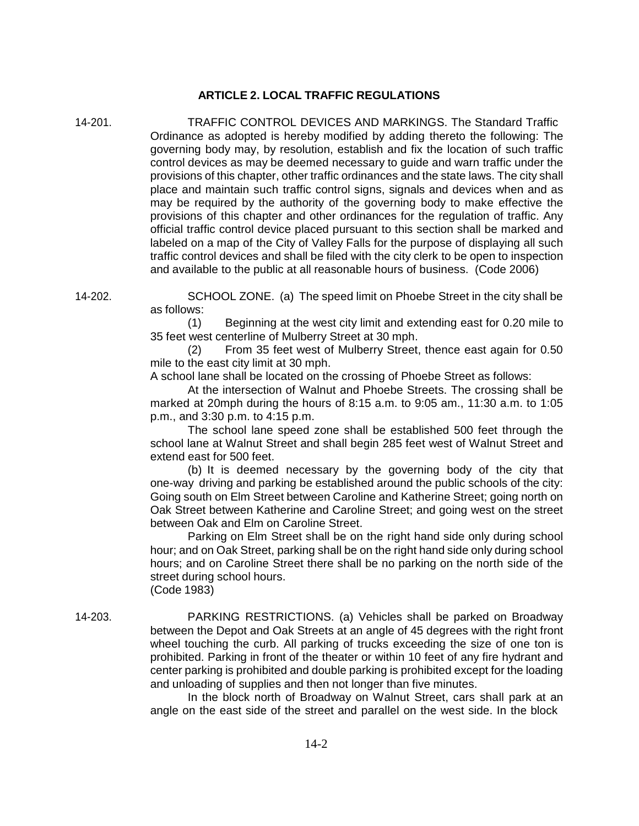## **ARTICLE 2. LOCAL TRAFFIC REGULATIONS**

14-201. TRAFFIC CONTROL DEVICES AND MARKINGS. The Standard Traffic Ordinance as adopted is hereby modified by adding thereto the following: The governing body may, by resolution, establish and fix the location of such traffic control devices as may be deemed necessary to guide and warn traffic under the provisions of this chapter, other traffic ordinances and the state laws. The city shall place and maintain such traffic control signs, signals and devices when and as may be required by the authority of the governing body to make effective the provisions of this chapter and other ordinances for the regulation of traffic. Any official traffic control device placed pursuant to this section shall be marked and labeled on a map of the City of Valley Falls for the purpose of displaying all such traffic control devices and shall be filed with the city clerk to be open to inspection and available to the public at all reasonable hours of business. (Code 2006)

14-202. SCHOOL ZONE. (a) The speed limit on Phoebe Street in the city shall be as follows:

> (1) Beginning at the west city limit and extending east for 0.20 mile to 35 feet west centerline of Mulberry Street at 30 mph.

> (2) From 35 feet west of Mulberry Street, thence east again for 0.50 mile to the east city limit at 30 mph.

A school lane shall be located on the crossing of Phoebe Street as follows:

At the intersection of Walnut and Phoebe Streets. The crossing shall be marked at 20mph during the hours of 8:15 a.m. to 9:05 am., 11:30 a.m. to 1:05 p.m., and 3:30 p.m. to 4:15 p.m.

The school lane speed zone shall be established 500 feet through the school lane at Walnut Street and shall begin 285 feet west of Walnut Street and extend east for 500 feet.

(b) It is deemed necessary by the governing body of the city that one-way driving and parking be established around the public schools of the city: Going south on Elm Street between Caroline and Katherine Street; going north on Oak Street between Katherine and Caroline Street; and going west on the street between Oak and Elm on Caroline Street.

Parking on Elm Street shall be on the right hand side only during school hour; and on Oak Street, parking shall be on the right hand side only during school hours; and on Caroline Street there shall be no parking on the north side of the street during school hours.

(Code 1983)

14-203. PARKING RESTRICTIONS. (a) Vehicles shall be parked on Broadway between the Depot and Oak Streets at an angle of 45 degrees with the right front wheel touching the curb. All parking of trucks exceeding the size of one ton is prohibited. Parking in front of the theater or within 10 feet of any fire hydrant and center parking is prohibited and double parking is prohibited except for the loading and unloading of supplies and then not longer than five minutes.

> In the block north of Broadway on Walnut Street, cars shall park at an angle on the east side of the street and parallel on the west side. In the block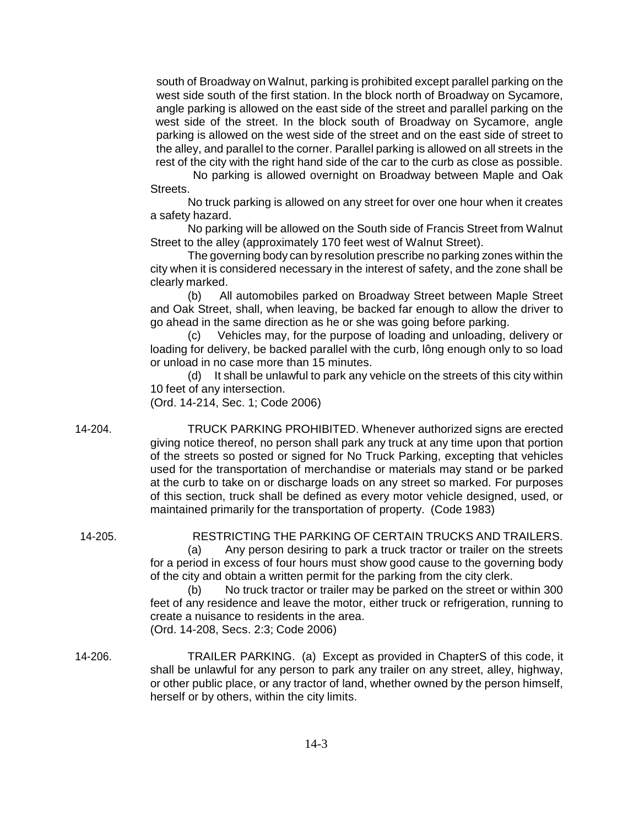south of Broadway on Walnut, parking is prohibited except parallel parking on the west side south of the first station. In the block north of Broadway on Sycamore, angle parking is allowed on the east side of the street and parallel parking on the west side of the street. In the block south of Broadway on Sycamore, angle parking is allowed on the west side of the street and on the east side of street to the alley, and parallel to the corner. Parallel parking is allowed on all streets in the rest of the city with the right hand side of the car to the curb as close as possible.

No parking is allowed overnight on Broadway between Maple and Oak Streets.

No truck parking is allowed on any street for over one hour when it creates a safety hazard.

No parking will be allowed on the South side of Francis Street from Walnut Street to the alley (approximately 170 feet west of Walnut Street).

The governing body can by resolution prescribe no parking zones within the city when it is considered necessary in the interest of safety, and the zone shall be clearly marked.

(b) All automobiles parked on Broadway Street between Maple Street and Oak Street, shall, when leaving, be backed far enough to allow the driver to go ahead in the same direction as he or she was going before parking.

(c) Vehicles may, for the purpose of loading and unloading, delivery or loading for delivery, be backed parallel with the curb, lông enough only to so load or unload in no case more than 15 minutes.

(d) It shall be unlawful to park any vehicle on the streets of this city within 10 feet of any intersection.

(Ord. 14-214, Sec. 1; Code 2006)

- 14-204. TRUCK PARKING PROHIBITED. Whenever authorized signs are erected giving notice thereof, no person shall park any truck at any time upon that portion of the streets so posted or signed for No Truck Parking, excepting that vehicles used for the transportation of merchandise or materials may stand or be parked at the curb to take on or discharge loads on any street so marked. For purposes of this section, truck shall be defined as every motor vehicle designed, used, or maintained primarily for the transportation of property. (Code 1983)
- 14-205. RESTRICTING THE PARKING OF CERTAIN TRUCKS AND TRAILERS. (a) Any person desiring to park a truck tractor or trailer on the streets for a period in excess of four hours must show good cause to the governing body of the city and obtain a written permit for the parking from the city clerk.

(b) No truck tractor or trailer may be parked on the street or within 300 feet of any residence and leave the motor, either truck or refrigeration, running to create a nuisance to residents in the area. (Ord. 14-208, Secs. 2:3; Code 2006)

14-206. TRAILER PARKING. (a) Except as provided in ChapterS of this code, it shall be unlawful for any person to park any trailer on any street, alley, highway, or other public place, or any tractor of land, whether owned by the person himself, herself or by others, within the city limits.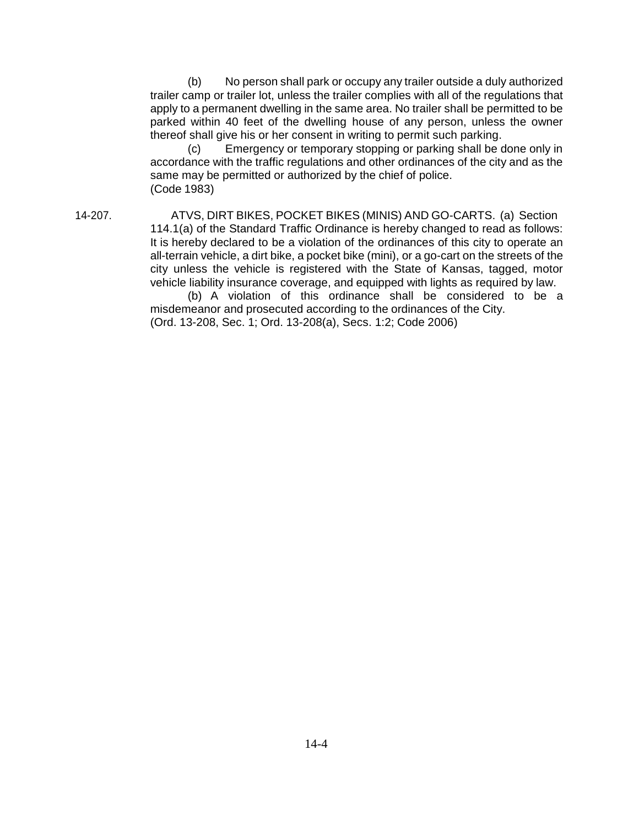(b) No person shall park or occupy any trailer outside a duly authorized trailer camp or trailer lot, unless the trailer complies with all of the regulations that apply to a permanent dwelling in the same area. No trailer shall be permitted to be parked within 40 feet of the dwelling house of any person, unless the owner thereof shall give his or her consent in writing to permit such parking.

(c) Emergency or temporary stopping or parking shall be done only in accordance with the traffic regulations and other ordinances of the city and as the same may be permitted or authorized by the chief of police. (Code 1983)

14-207. ATVS, DIRT BIKES, POCKET BIKES (MINIS) AND GO-CARTS. (a) Section 114.1(a) of the Standard Traffic Ordinance is hereby changed to read as follows: It is hereby declared to be a violation of the ordinances of this city to operate an all-terrain vehicle, a dirt bike, a pocket bike (mini), or a go-cart on the streets of the city unless the vehicle is registered with the State of Kansas, tagged, motor vehicle liability insurance coverage, and equipped with lights as required by law.

> (b) A violation of this ordinance shall be considered to be a misdemeanor and prosecuted according to the ordinances of the City. (Ord. 13-208, Sec. 1; Ord. 13-208(a), Secs. 1:2; Code 2006)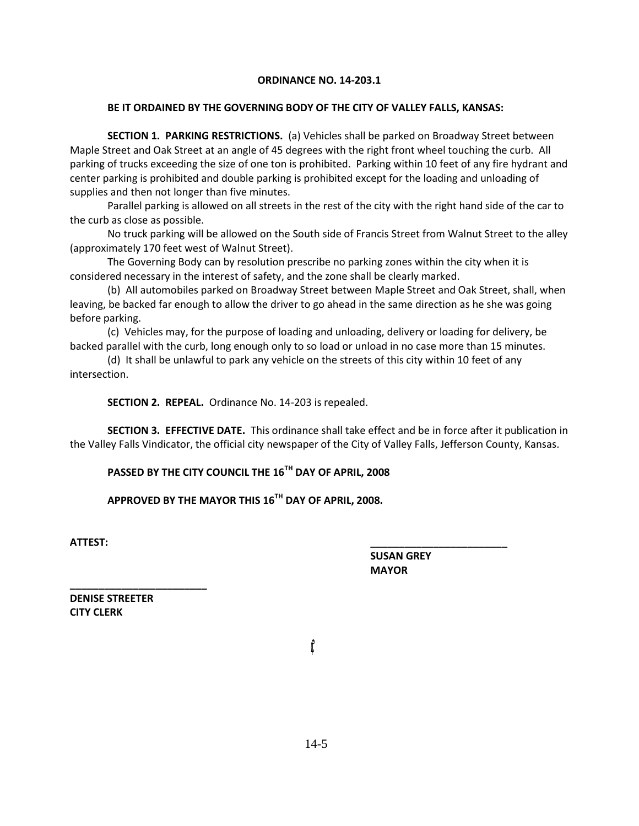#### **ORDINANCE NO. 14-203.1**

#### **BE IT ORDAINED BY THE GOVERNING BODY OF THE CITY OF VALLEY FALLS, KANSAS:**

**SECTION 1. PARKING RESTRICTIONS.** (a) Vehicles shall be parked on Broadway Street between Maple Street and Oak Street at an angle of 45 degrees with the right front wheel touching the curb. All parking of trucks exceeding the size of one ton is prohibited. Parking within 10 feet of any fire hydrant and center parking is prohibited and double parking is prohibited except for the loading and unloading of supplies and then not longer than five minutes.

Parallel parking is allowed on all streets in the rest of the city with the right hand side of the car to the curb as close as possible.

No truck parking will be allowed on the South side of Francis Street from Walnut Street to the alley (approximately 170 feet west of Walnut Street).

The Governing Body can by resolution prescribe no parking zones within the city when it is considered necessary in the interest of safety, and the zone shall be clearly marked.

(b) All automobiles parked on Broadway Street between Maple Street and Oak Street, shall, when leaving, be backed far enough to allow the driver to go ahead in the same direction as he she was going before parking.

(c) Vehicles may, for the purpose of loading and unloading, delivery or loading for delivery, be backed parallel with the curb, long enough only to so load or unload in no case more than 15 minutes.

(d) It shall be unlawful to park any vehicle on the streets of this city within 10 feet of any intersection.

**SECTION 2. REPEAL.** Ordinance No. 14-203 is repealed.

**SECTION 3. EFFECTIVE DATE.** This ordinance shall take effect and be in force after it publication in the Valley Falls Vindicator, the official city newspaper of the City of Valley Falls, Jefferson County, Kansas.

**PASSED BY THE CITY COUNCIL THE 16TH DAY OF APRIL, 2008**

**APPROVED BY THE MAYOR THIS 16TH DAY OF APRIL, 2008.**

**ATTEST: \_\_\_\_\_\_\_\_\_\_\_\_\_\_\_\_\_\_\_\_\_\_\_\_**

**SUSAN GREY MAYOR**

**DENISE STREETER CITY CLERK**

**\_\_\_\_\_\_\_\_\_\_\_\_\_\_\_\_\_\_\_\_\_\_\_\_**

*{Cit*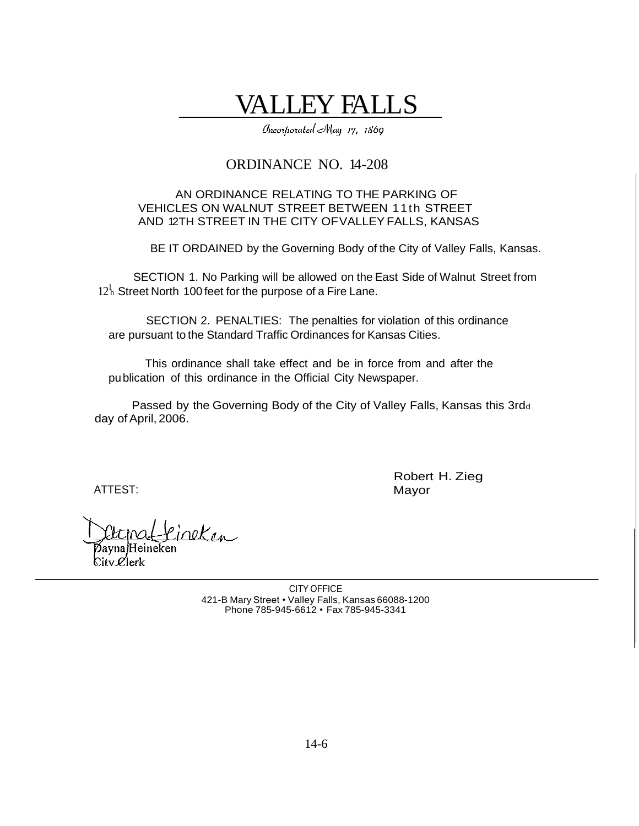# VALLEY FALLS

Incorporated May 17, 1869

## ORDINANCE NO. 14-208

## AN ORDINANCE RELATING TO THE PARKING OF VEHICLES ON WALNUT STREET BETWEEN 11th STREET AND 12TH STREET IN THE CITY OFVALLEYFALLS, KANSAS

BE IT ORDAINED by the Governing Body of the City of Valley Falls, Kansas.

 $12<sup>1</sup>$  Street North 100 feet for the purpose of a Fire Lane. SECTION 1. No Parking will be allowed on the East Side of Walnut Street from

SECTION 2. PENALTIES: The penalties for violation of this ordinance are pursuant to the Standard Traffic Ordinances for Kansas Cities.

This ordinance shall take effect and be in force from and after the publication of this ordinance in the Official City Newspaper.

Passed by the Governing Body of the City of Valley Falls, Kansas this 3rdd day of April, 2006.

ATTEST:

Robert H. Zieg Mayor

ineken  $\mathrm{Tr}\mathbf{v}$   $\mathcal{O}$ lerk

CITY OFFICE 421-B Mary Street • Valley Falls, Kansas 66088-1200 Phone 785-945-6612 • Fax 785-945-3341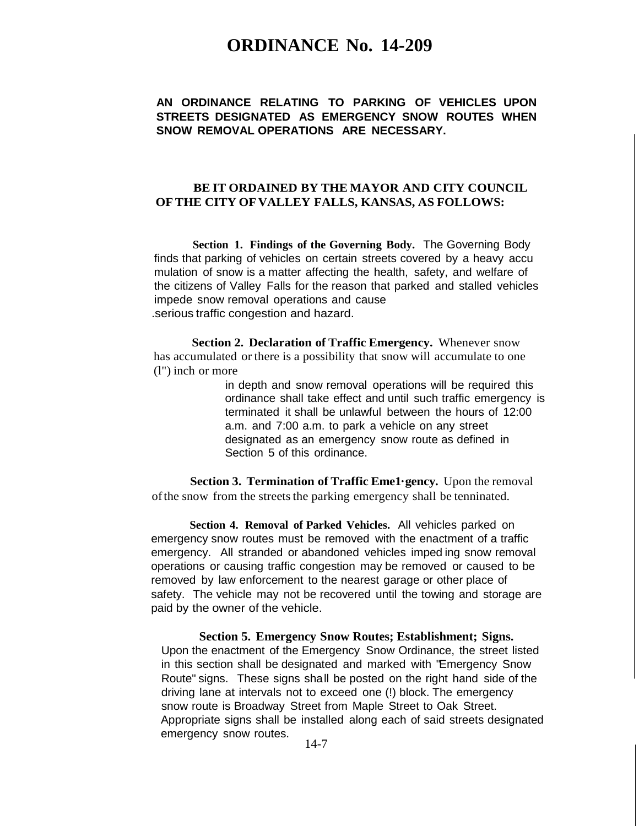## **ORDINANCE No. 14-209**

## **AN ORDINANCE RELATING TO PARKING OF VEHICLES UPON STREETS DESIGNATED AS EMERGENCY SNOW ROUTES WHEN SNOW REMOVAL OPERATIONS ARE NECESSARY.**

## **BE IT ORDAINED BY THE MAYOR AND CITY COUNCIL OFTHE CITY OFVALLEY FALLS, KANSAS, AS FOLLOWS:**

**Section 1. Findings of the Governing Body.** The Governing Body finds that parking of vehicles on certain streets covered by a heavy accu mulation of snow is a matter affecting the health, safety, and welfare of the citizens of Valley Falls for the reason that parked and stalled vehicles impede snow removal operations and cause .serious traffic congestion and hazard.

**Section 2. Declaration of Traffic Emergency.** Whenever snow has accumulated or there is a possibility that snow will accumulate to one (l") inch or more

> in depth and snow removal operations will be required this ordinance shall take effect and until such traffic emergency is terminated it shall be unlawful between the hours of 12:00 a.m. and 7:00 a.m. to park a vehicle on any street designated as an emergency snow route as defined in Section 5 of this ordinance.

**Section 3. Termination of Traffic Eme1·gency.** Upon the removal of the snow from the streets the parking emergency shall be tenninated.

**Section 4. Removal of Parked Vehicles.** All vehicles parked on emergency snow routes must be removed with the enactment of a traffic emergency. All stranded or abandoned vehicles imped ing snow removal operations or causing traffic congestion may be removed or caused to be removed by law enforcement to the nearest garage or other place of safety. The vehicle may not be recovered until the towing and storage are paid by the owner of the vehicle.

**Section 5. Emergency Snow Routes; Establishment; Signs.** Upon the enactment of the Emergency Snow Ordinance, the street listed in this section shall be designated and marked with "Emergency Snow Route" signs. These signs shall be posted on the right hand side of the driving lane at intervals not to exceed one (!) block. The emergency snow route is Broadway Street from Maple Street to Oak Street. Appropriate signs shall be installed along each of said streets designated emergency snow routes.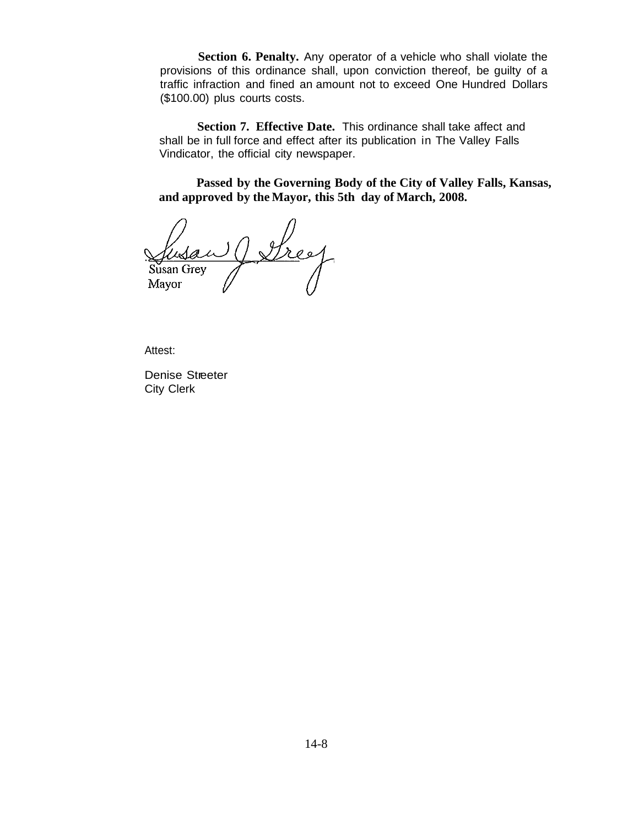**Section 6. Penalty.** Any operator of a vehicle who shall violate the provisions of this ordinance shall, upon conviction thereof, be guilty of a traffic infraction and fined an amount not to exceed One Hundred Dollars (\$100.00) plus courts costs.

**Section 7. Effective Date.** This ordinance shall take affect and shall be in full force and effect after its publication in The Valley Falls Vindicator, the official city newspaper.

**Passed by the Governing Body of the City of Valley Falls, Kansas, and approved by the Mayor, this 5th day of March, 2008.**

usan Jerey Susan Grey Mayor

Attest:

Denise Streeter City Clerk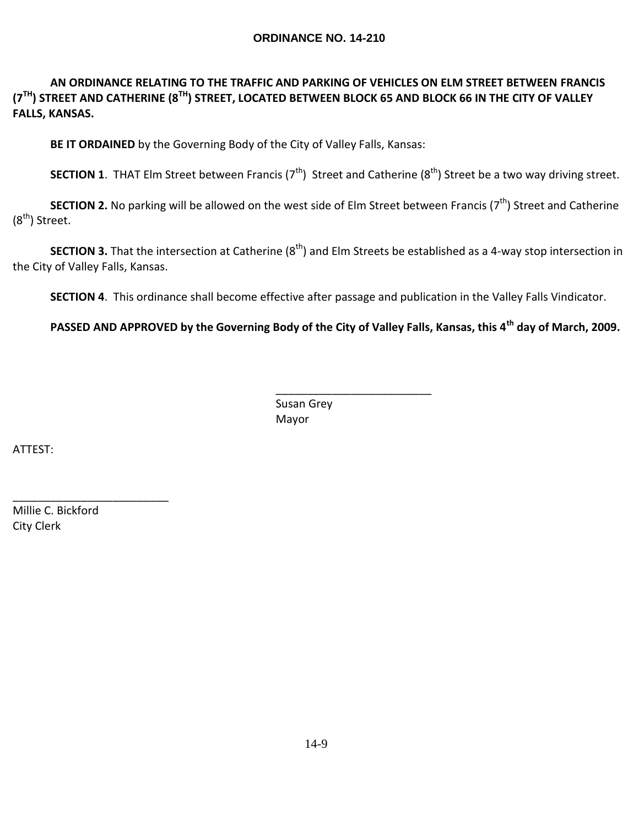## **ORDINANCE NO. 14-210**

## **AN ORDINANCE RELATING TO THE TRAFFIC AND PARKING OF VEHICLES ON ELM STREET BETWEEN FRANCIS (7TH) STREET AND CATHERINE (8TH) STREET, LOCATED BETWEEN BLOCK 65 AND BLOCK 66 IN THE CITY OF VALLEY FALLS, KANSAS.**

**BE IT ORDAINED** by the Governing Body of the City of Valley Falls, Kansas:

**SECTION 1**. THAT Elm Street between Francis  $(7<sup>th</sup>)$  Street and Catherine  $(8<sup>th</sup>)$  Street be a two way driving street.

**SECTION 2.** No parking will be allowed on the west side of Elm Street between Francis  $(7<sup>th</sup>)$  Street and Catherine  $(8<sup>th</sup>)$  Street.

**SECTION 3.** That the intersection at Catherine (8<sup>th</sup>) and Elm Streets be established as a 4-way stop intersection in the City of Valley Falls, Kansas.

**SECTION 4**. This ordinance shall become effective after passage and publication in the Valley Falls Vindicator.

**PASSED AND APPROVED by the Governing Body of the City of Valley Falls, Kansas, this 4th day of March, 2009.**

\_\_\_\_\_\_\_\_\_\_\_\_\_\_\_\_\_\_\_\_\_\_\_\_\_

Susan Grey Mayor

ATTEST:

Millie C. Bickford City Clerk

\_\_\_\_\_\_\_\_\_\_\_\_\_\_\_\_\_\_\_\_\_\_\_\_\_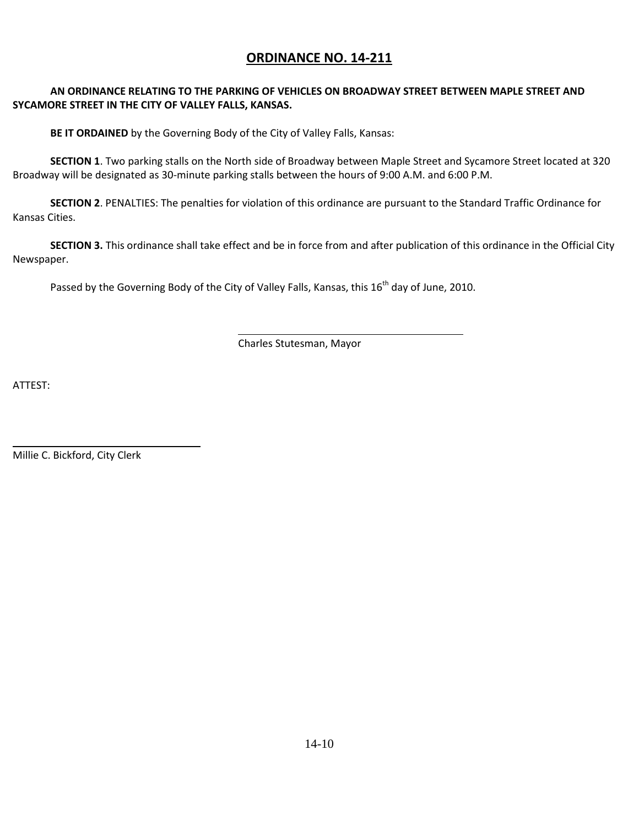## **ORDINANCE NO. 14-211**

## **AN ORDINANCE RELATING TO THE PARKING OF VEHICLES ON BROADWAY STREET BETWEEN MAPLE STREET AND SYCAMORE STREET IN THE CITY OF VALLEY FALLS, KANSAS.**

**BE IT ORDAINED** by the Governing Body of the City of Valley Falls, Kansas:

**SECTION 1**. Two parking stalls on the North side of Broadway between Maple Street and Sycamore Street located at 320 Broadway will be designated as 30-minute parking stalls between the hours of 9:00 A.M. and 6:00 P.M.

**SECTION 2**. PENALTIES: The penalties for violation of this ordinance are pursuant to the Standard Traffic Ordinance for Kansas Cities.

**SECTION 3.** This ordinance shall take effect and be in force from and after publication of this ordinance in the Official City Newspaper.

Passed by the Governing Body of the City of Valley Falls, Kansas, this  $16<sup>th</sup>$  day of June, 2010.

Charles Stutesman, Mayor

ATTEST:

Millie C. Bickford, City Clerk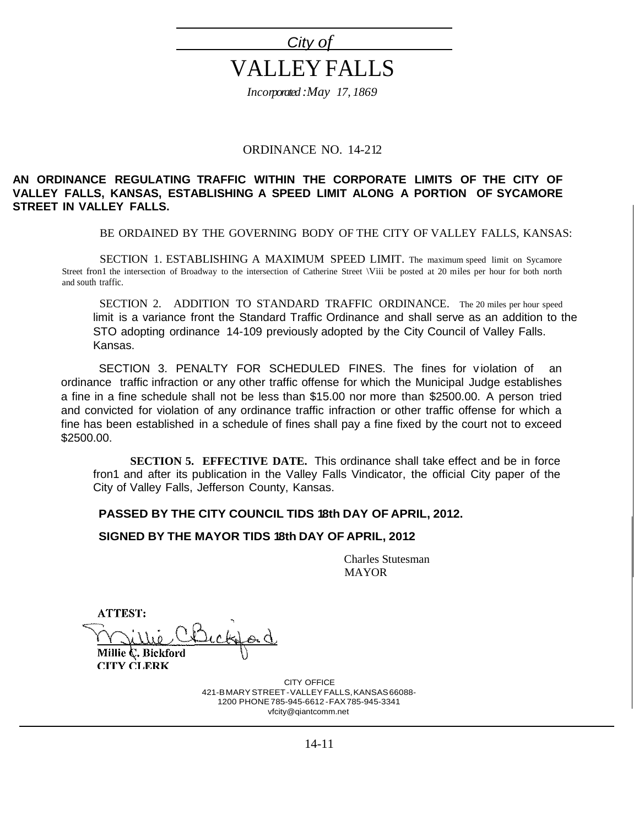*City of* VALLEYFALLS

*Incorporated :May 17, 186.9*

#### ORDINANCE NO. 14-212

#### **AN ORDINANCE REGULATING TRAFFIC WITHIN THE CORPORATE LIMITS OF THE CITY OF VALLEY FALLS, KANSAS, ESTABLISHING A SPEED LIMIT ALONG A PORTION OF SYCAMORE STREET IN VALLEY FALLS.**

BE ORDAINED BY THE GOVERNING BODY OF THE CITY OF VALLEY FALLS, KANSAS:

SECTION 1. ESTABLISHING A MAXIMUM SPEED LIMIT. The maximum speed limit on Sycamore Street fron1 the intersection of Broadway to the intersection of Catherine Street \Viii be posted at 20 miles per hour for both north and south traffic.

SECTION 2. ADDITION TO STANDARD TRAFFIC ORDINANCE. The 20 miles per hour speed limit is a variance front the Standard Traffic Ordinance and shall serve as an addition to the STO adopting ordinance 14-109 previously adopted by the City Council of Valley Falls. Kansas.

SECTION 3. PENALTY FOR SCHEDULED FINES. The fines for violation of an ordinance traffic infraction or any other traffic offense for which the Municipal Judge establishes a fine in a fine schedule shall not be less than \$15.00 nor more than \$2500.00. A person tried and convicted for violation of any ordinance traffic infraction or other traffic offense for which a fine has been established in a schedule of fines shall pay a fine fixed by the court not to exceed \$2500.00.

**SECTION 5. EFFECTIVE DATE.** This ordinance shall take effect and be in force fron1 and after its publication in the Valley Falls Vindicator, the official City paper of the City of Valley Falls, Jefferson County, Kansas.

#### **PASSED BY THE CITY COUNCIL TIDS 18th DAY OF APRIL, 2012.**

## **SIGNED BY THE MAYOR TIDS 18th DAY OF APRIL, 2012**

 Charles Stutesman MAYOR

**ATTEST:** 

Millie Ç. Bickford **CITY CLERK** 

> CITY OFFICE 421-BMARYSTREET-VALLEYFALLS,KANSAS66088- 1200 PHONE785-945-6612 -FAX785-945-3341 [vfcity@qiantcomm.net](mailto:vfcity@qiantcomm.net)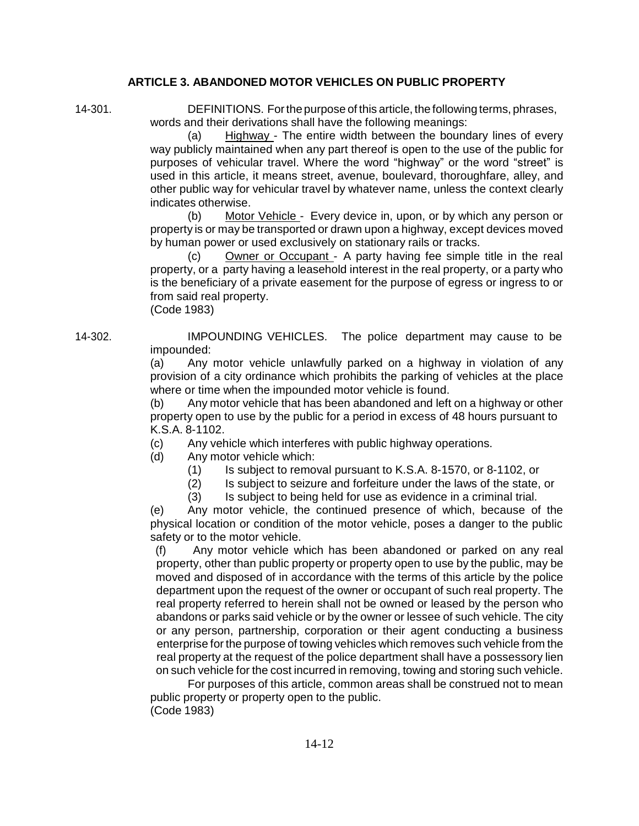## **ARTICLE 3. ABANDONED MOTOR VEHICLES ON PUBLIC PROPERTY**

14-301. DEFINITIONS. Forthe purpose of this article, the following terms, phrases, words and their derivations shall have the following meanings:

(a)  $Highway - The entire width between the boundary lines of every$ way publicly maintained when any part thereof is open to the use of the public for purposes of vehicular travel. Where the word "highway" or the word "street" is used in this article, it means street, avenue, boulevard, thoroughfare, alley, and other public way for vehicular travel by whatever name, unless the context clearly indicates otherwise.

(b) Motor Vehicle - Every device in, upon, or by which any person or property is or may be transported or drawn upon a highway, except devices moved by human power or used exclusively on stationary rails or tracks.

(c) Owner or Occupant - A party having fee simple title in the real property, or a party having a leasehold interest in the real property, or a party who is the beneficiary of a private easement for the purpose of egress or ingress to or from said real property.

(Code 1983)

14-302. IMPOUNDING VEHICLES. The police department may cause to be impounded:

(a) Any motor vehicle unlawfully parked on a highway in violation of any provision of a city ordinance which prohibits the parking of vehicles at the place where or time when the impounded motor vehicle is found.

(b) Any motor vehicle that has been abandoned and left on a highway or other property open to use by the public for a period in excess of 48 hours pursuant to K.S.A. 8-1102.

(c) Any vehicle which interferes with public highway operations.

- (d) Any motor vehicle which:
	- (1) Is subject to removal pursuant to K.S.A. 8-1570, or 8-1102, or

(2) Is subject to seizure and forfeiture under the laws of the state, or

(3) Is subject to being held for use as evidence in a criminal trial.

(e) Any motor vehicle, the continued presence of which, because of the physical location or condition of the motor vehicle, poses a danger to the public safety or to the motor vehicle.

(f) Any motor vehicle which has been abandoned or parked on any real property, other than public property or property open to use by the public, may be moved and disposed of in accordance with the terms of this article by the police department upon the request of the owner or occupant of such real property. The real property referred to herein shall not be owned or leased by the person who abandons or parks said vehicle or by the owner or lessee of such vehicle. The city or any person, partnership, corporation or their agent conducting a business enterprise for the purpose of towing vehicles which removes such vehicle from the real property at the request of the police department shall have a possessory lien on such vehicle for the cost incurred in removing, towing and storing such vehicle.

For purposes of this article, common areas shall be construed not to mean public property or property open to the public. (Code 1983)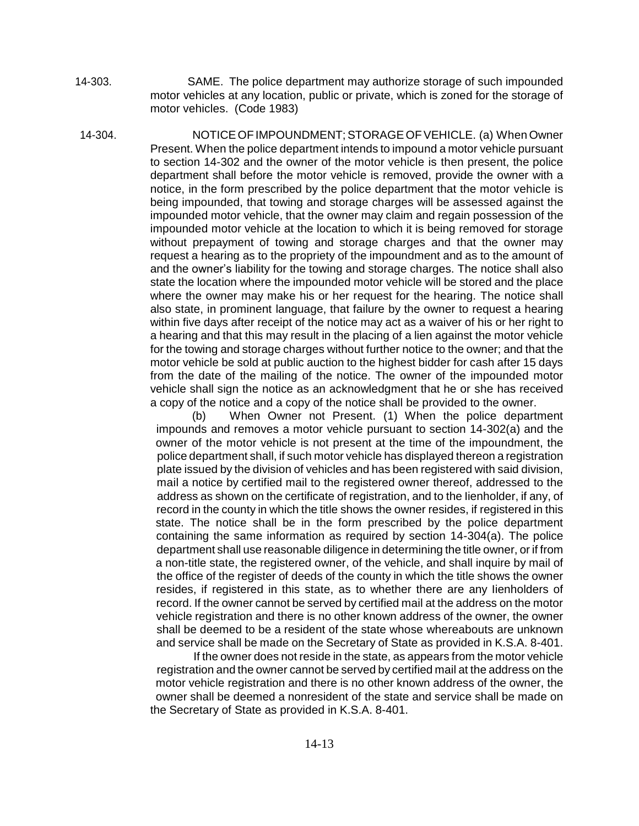14-303. SAME. The police department may authorize storage of such impounded motor vehicles at any location, public or private, which is zoned for the storage of motor vehicles. (Code 1983)

14-304. NOTICEOFIMPOUNDMENT;STORAGEOFVEHICLE. (a) When Owner Present. When the police department intends to impound a motor vehicle pursuant to section 14-302 and the owner of the motor vehicle is then present, the police department shall before the motor vehicle is removed, provide the owner with a notice, in the form prescribed by the police department that the motor vehicle is being impounded, that towing and storage charges will be assessed against the impounded motor vehicle, that the owner may claim and regain possession of the impounded motor vehicle at the location to which it is being removed for storage without prepayment of towing and storage charges and that the owner may request a hearing as to the propriety of the impoundment and as to the amount of and the owner's liability for the towing and storage charges. The notice shall also state the location where the impounded motor vehicle will be stored and the place where the owner may make his or her request for the hearing. The notice shall also state, in prominent language, that failure by the owner to request a hearing within five days after receipt of the notice may act as a waiver of his or her right to a hearing and that this may result in the placing of a lien against the motor vehicle for the towing and storage charges without further notice to the owner; and that the motor vehicle be sold at public auction to the highest bidder for cash after 15 days from the date of the mailing of the notice. The owner of the impounded motor vehicle shall sign the notice as an acknowledgment that he or she has received a copy of the notice and a copy of the notice shall be provided to the owner.

(b) When Owner not Present. (1) When the police department impounds and removes a motor vehicle pursuant to section 14-302(a) and the owner of the motor vehicle is not present at the time of the impoundment, the police department shall, if such motor vehicle has displayed thereon a registration plate issued by the division of vehicles and has been registered with said division, mail a notice by certified mail to the registered owner thereof, addressed to the address as shown on the certificate of registration, and to the Iienholder, if any, of record in the county in which the title shows the owner resides, if registered in this state. The notice shall be in the form prescribed by the police department containing the same information as required by section 14-304(a). The police department shall use reasonable diligence in determining the title owner, or if from a non-title state, the registered owner, of the vehicle, and shall inquire by mail of the office of the register of deeds of the county in which the title shows the owner resides, if registered in this state, as to whether there are any Iienholders of record. If the owner cannot be served by certified mail at the address on the motor vehicle registration and there is no other known address of the owner, the owner shall be deemed to be a resident of the state whose whereabouts are unknown and service shall be made on the Secretary of State as provided in K.S.A. 8-401.

If the owner does not reside in the state, as appears from the motor vehicle registration and the owner cannot be served by certified mail at the address on the motor vehicle registration and there is no other known address of the owner, the owner shall be deemed a nonresident of the state and service shall be made on the Secretary of State as provided in K.S.A. 8-401.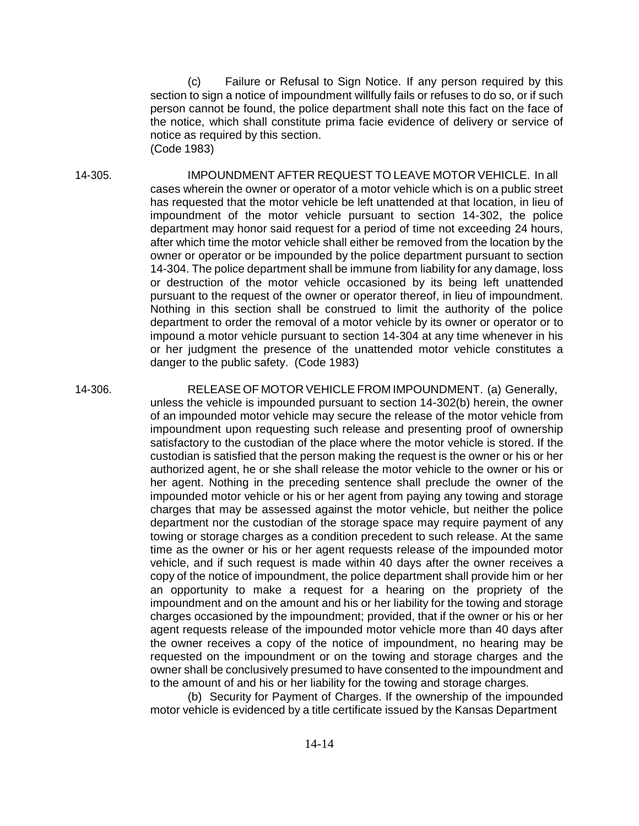(c) Failure or Refusal to Sign Notice. If any person required by this section to sign a notice of impoundment willfully fails or refuses to do so, or if such person cannot be found, the police department shall note this fact on the face of the notice, which shall constitute prima facie evidence of delivery or service of notice as required by this section. (Code 1983)

14-305. IMPOUNDMENT AFTER REQUEST TO LEAVE MOTOR VEHICLE. In all cases wherein the owner or operator of a motor vehicle which is on a public street has requested that the motor vehicle be left unattended at that location, in lieu of impoundment of the motor vehicle pursuant to section 14-302, the police department may honor said request for a period of time not exceeding 24 hours, after which time the motor vehicle shall either be removed from the location by the owner or operator or be impounded by the police department pursuant to section 14-304. The police department shall be immune from liability for any damage, loss or destruction of the motor vehicle occasioned by its being left unattended pursuant to the request of the owner or operator thereof, in lieu of impoundment. Nothing in this section shall be construed to limit the authority of the police department to order the removal of a motor vehicle by its owner or operator or to impound a motor vehicle pursuant to section 14-304 at any time whenever in his or her judgment the presence of the unattended motor vehicle constitutes a danger to the public safety. (Code 1983)

14-306. RELEASE OF MOTOR VEHICLE FROM IMPOUNDMENT. (a) Generally,

unless the vehicle is impounded pursuant to section 14-302(b) herein, the owner of an impounded motor vehicle may secure the release of the motor vehicle from impoundment upon requesting such release and presenting proof of ownership satisfactory to the custodian of the place where the motor vehicle is stored. If the custodian is satisfied that the person making the request is the owner or his or her authorized agent, he or she shall release the motor vehicle to the owner or his or her agent. Nothing in the preceding sentence shall preclude the owner of the impounded motor vehicle or his or her agent from paying any towing and storage charges that may be assessed against the motor vehicle, but neither the police department nor the custodian of the storage space may require payment of any towing or storage charges as a condition precedent to such release. At the same time as the owner or his or her agent requests release of the impounded motor vehicle, and if such request is made within 40 days after the owner receives a copy of the notice of impoundment, the police department shall provide him or her an opportunity to make a request for a hearing on the propriety of the impoundment and on the amount and his or her liability for the towing and storage charges occasioned by the impoundment; provided, that if the owner or his or her agent requests release of the impounded motor vehicle more than 40 days after the owner receives a copy of the notice of impoundment, no hearing may be requested on the impoundment or on the towing and storage charges and the owner shall be conclusively presumed to have consented to the impoundment and to the amount of and his or her liability for the towing and storage charges.

(b) Security for Payment of Charges. If the ownership of the impounded motor vehicle is evidenced by a title certificate issued by the Kansas Department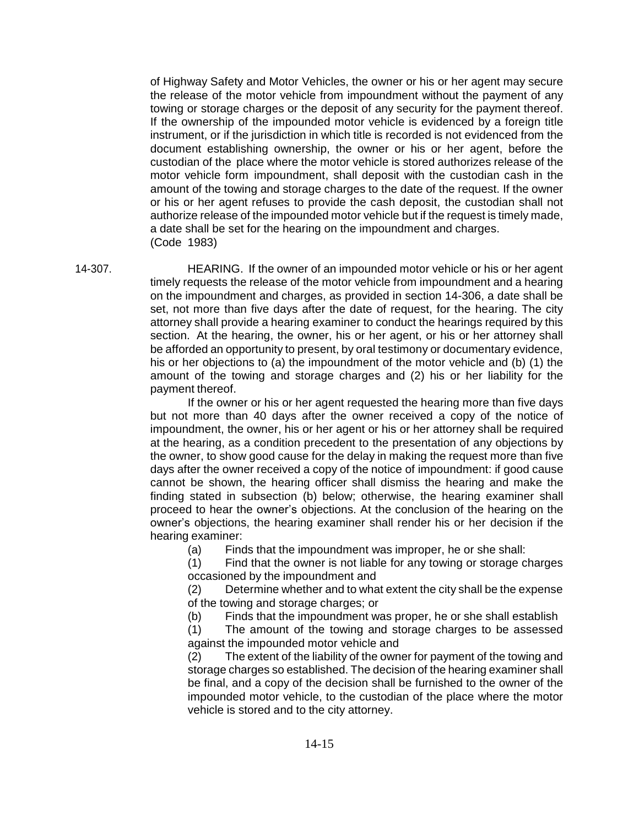of Highway Safety and Motor Vehicles, the owner or his or her agent may secure the release of the motor vehicle from impoundment without the payment of any towing or storage charges or the deposit of any security for the payment thereof. If the ownership of the impounded motor vehicle is evidenced by a foreign title instrument, or if the jurisdiction in which title is recorded is not evidenced from the document establishing ownership, the owner or his or her agent, before the custodian of the place where the motor vehicle is stored authorizes release of the motor vehicle form impoundment, shall deposit with the custodian cash in the amount of the towing and storage charges to the date of the request. If the owner or his or her agent refuses to provide the cash deposit, the custodian shall not authorize release of the impounded motor vehicle but if the request is timely made, a date shall be set for the hearing on the impoundment and charges. (Code 1983)

14-307. HEARING. If the owner of an impounded motor vehicle or his or her agent timely requests the release of the motor vehicle from impoundment and a hearing on the impoundment and charges, as provided in section 14-306, a date shall be set, not more than five days after the date of request, for the hearing. The city attorney shall provide a hearing examiner to conduct the hearings required by this section. At the hearing, the owner, his or her agent, or his or her attorney shall be afforded an opportunity to present, by oral testimony or documentary evidence, his or her objections to (a) the impoundment of the motor vehicle and (b) (1) the amount of the towing and storage charges and (2) his or her liability for the payment thereof.

> If the owner or his or her agent requested the hearing more than five days but not more than 40 days after the owner received a copy of the notice of impoundment, the owner, his or her agent or his or her attorney shall be required at the hearing, as a condition precedent to the presentation of any objections by the owner, to show good cause for the delay in making the request more than five days after the owner received a copy of the notice of impoundment: if good cause cannot be shown, the hearing officer shall dismiss the hearing and make the finding stated in subsection (b) below; otherwise, the hearing examiner shall proceed to hear the owner's objections. At the conclusion of the hearing on the owner's objections, the hearing examiner shall render his or her decision if the hearing examiner:

(a) Finds that the impoundment was improper, he or she shall:

(1) Find that the owner is not liable for any towing or storage charges occasioned by the impoundment and

(2) Determine whether and to what extent the city shall be the expense of the towing and storage charges; or

(b) Finds that the impoundment was proper, he or she shall establish

(1) The amount of the towing and storage charges to be assessed against the impounded motor vehicle and

(2) The extent of the liability of the owner for payment of the towing and storage charges so established. The decision of the hearing examiner shall be final, and a copy of the decision shall be furnished to the owner of the impounded motor vehicle, to the custodian of the place where the motor vehicle is stored and to the city attorney.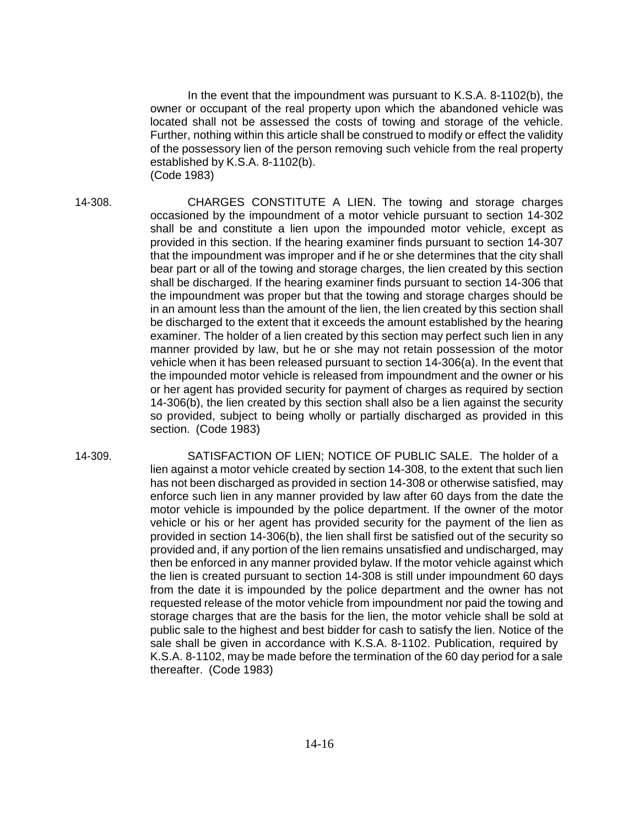In the event that the impoundment was pursuant to K.S.A. 8-1102(b), the owner or occupant of the real property upon which the abandoned vehicle was located shall not be assessed the costs of towing and storage of the vehicle. Further, nothing within this article shall be construed to modify or effect the validity of the possessory lien of the person removing such vehicle from the real property established by K.S.A. 8-1102(b). (Code 1983)

14-308. CHARGES CONSTITUTE A LIEN. The towing and storage charges occasioned by the impoundment of a motor vehicle pursuant to section 14-302 shall be and constitute a lien upon the impounded motor vehicle, except as provided in this section. If the hearing examiner finds pursuant to section 14-307 that the impoundment was improper and if he or she determines that the city shall bear part or all of the towing and storage charges, the lien created by this section shall be discharged. If the hearing examiner finds pursuant to section 14-306 that the impoundment was proper but that the towing and storage charges should be in an amount less than the amount of the lien, the lien created by this section shall be discharged to the extent that it exceeds the amount established by the hearing examiner. The holder of a lien created by this section may perfect such lien in any manner provided by law, but he or she may not retain possession of the motor vehicle when it has been released pursuant to section 14-306(a). In the event that the impounded motor vehicle is released from impoundment and the owner or his or her agent has provided security for payment of charges as required by section 14-306(b), the lien created by this section shall also be a lien against the security so provided, subject to being wholly or partially discharged as provided in this section. (Code 1983)

14-309. SATISFACTION OF LIEN; NOTICE OF PUBLIC SALE. The holder of a lien against a motor vehicle created by section 14-308, to the extent that such lien has not been discharged as provided in section 14-308 or otherwise satisfied, may enforce such lien in any manner provided by law after 60 days from the date the motor vehicle is impounded by the police department. If the owner of the motor vehicle or his or her agent has provided security for the payment of the lien as provided in section 14-306(b), the lien shall first be satisfied out of the security so provided and, if any portion of the lien remains unsatisfied and undischarged, may then be enforced in any manner provided bylaw. If the motor vehicle against which the lien is created pursuant to section 14-308 is still under impoundment 60 days from the date it is impounded by the police department and the owner has not requested release of the motor vehicle from impoundment nor paid the towing and storage charges that are the basis for the lien, the motor vehicle shall be sold at public sale to the highest and best bidder for cash to satisfy the lien. Notice of the sale shall be given in accordance with K.S.A. 8-1102. Publication, required by K.S.A. 8-1102, may be made before the termination of the 60 day period for a sale thereafter. (Code 1983)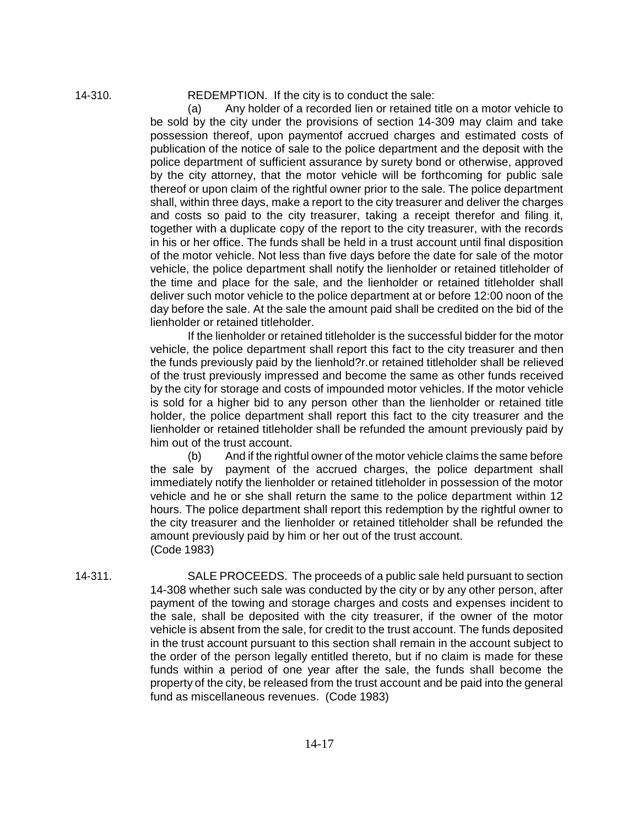14-310. REDEMPTION. If the city is to conduct the sale:

(a) Any holder of a recorded lien or retained title on a motor vehicle to be sold by the city under the provisions of section 14-309 may claim and take possession thereof, upon paymentof accrued charges and estimated costs of publication of the notice of sale to the police department and the deposit with the police department of sufficient assurance by surety bond or otherwise, approved by the city attorney, that the motor vehicle will be forthcoming for public sale thereof or upon claim of the rightful owner prior to the sale. The police department shall, within three days, make a report to the city treasurer and deliver the charges and costs so paid to the city treasurer, taking a receipt therefor and filing it, together with a duplicate copy of the report to the city treasurer, with the records in his or her office. The funds shall be held in a trust account until final disposition of the motor vehicle. Not less than five days before the date for sale of the motor vehicle, the police department shall notify the lienholder or retained titleholder of the time and place for the sale, and the lienholder or retained titleholder shall deliver such motor vehicle to the police department at or before 12:00 noon of the day before the sale. At the sale the amount paid shall be credited on the bid of the lienholder or retained titleholder.

If the lienholder or retained titleholder is the successful bidder for the motor vehicle, the police department shall report this fact to the city treasurer and then the funds previously paid by the lienhold?r.or retained titleholder shall be relieved of the trust previously impressed and become the same as other funds received by the city for storage and costs of impounded motor vehicles. If the motor vehicle is sold for a higher bid to any person other than the lienholder or retained title holder, the police department shall report this fact to the city treasurer and the lienholder or retained titleholder shall be refunded the amount previously paid by him out of the trust account.

(b) And if the rightful owner of the motor vehicle claims the same before the sale by payment of the accrued charges, the police department shall immediately notify the lienholder or retained titleholder in possession of the motor vehicle and he or she shall return the same to the police department within 12 hours. The police department shall report this redemption by the rightful owner to the city treasurer and the lienholder or retained titleholder shall be refunded the amount previously paid by him or her out of the trust account. (Code 1983)

14-311. SALE PROCEEDS. The proceeds of a public sale held pursuant to section 14-308 whether such sale was conducted by the city or by any other person, after payment of the towing and storage charges and costs and expenses incident to the sale, shall be deposited with the city treasurer, if the owner of the motor vehicle is absent from the sale, for credit to the trust account. The funds deposited in the trust account pursuant to this section shall remain in the account subject to the order of the person legally entitled thereto, but if no claim is made for these funds within a period of one year after the sale, the funds shall become the property of the city, be released from the trust account and be paid into the general fund as miscellaneous revenues. (Code 1983)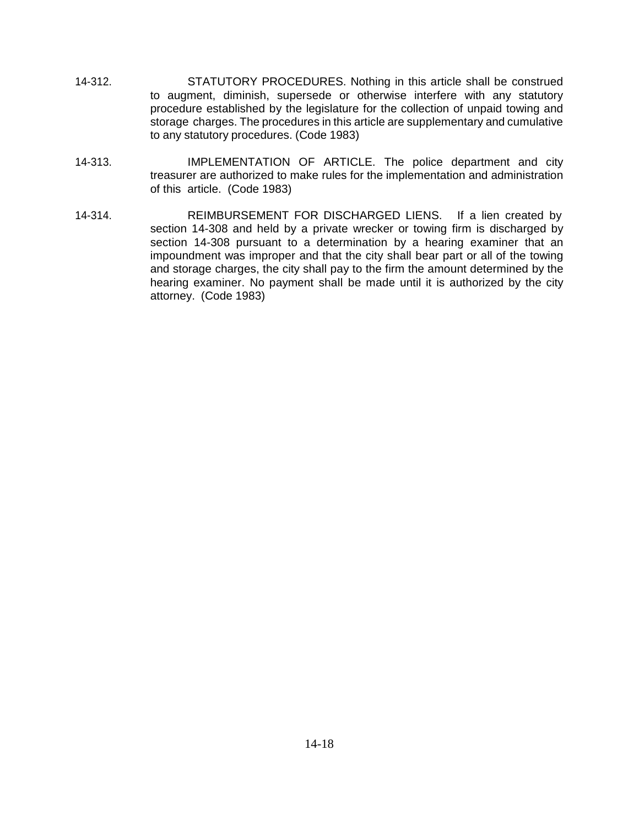- 14-312. STATUTORY PROCEDURES. Nothing in this article shall be construed to augment, diminish, supersede or otherwise interfere with any statutory procedure established by the legislature for the collection of unpaid towing and storage charges. The procedures in this article are supplementary and cumulative to any statutory procedures. (Code 1983)
- 14-313. IMPLEMENTATION OF ARTICLE. The police department and city treasurer are authorized to make rules for the implementation and administration of this article. (Code 1983)
- 14-314. REIMBURSEMENT FOR DISCHARGED LIENS. If a lien created by section 14-308 and held by a private wrecker or towing firm is discharged by section 14-308 pursuant to a determination by a hearing examiner that an impoundment was improper and that the city shall bear part or all of the towing and storage charges, the city shall pay to the firm the amount determined by the hearing examiner. No payment shall be made until it is authorized by the city attorney. (Code 1983)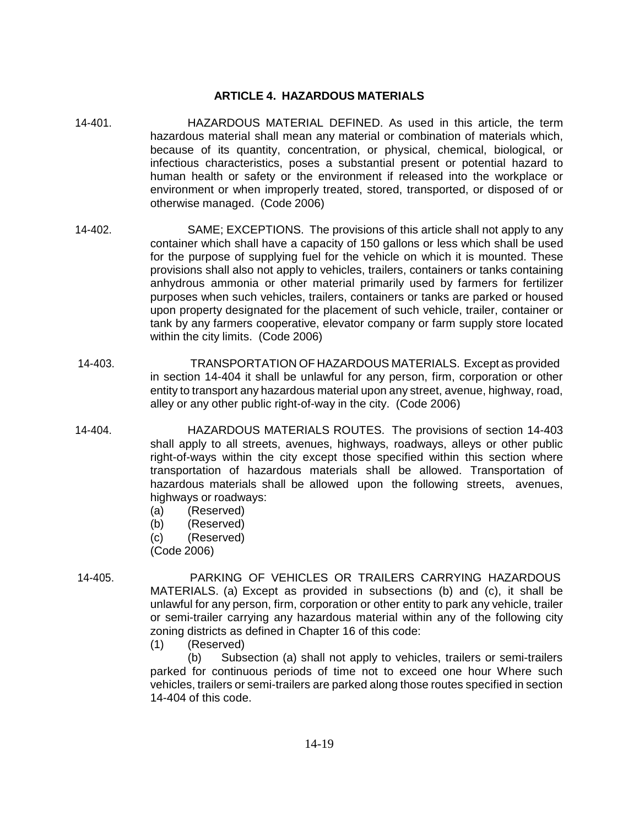## **ARTICLE 4. HAZARDOUS MATERIALS**

- 14-401. HAZARDOUS MATERIAL DEFINED. As used in this article, the term hazardous material shall mean any material or combination of materials which, because of its quantity, concentration, or physical, chemical, biological, or infectious characteristics, poses a substantial present or potential hazard to human health or safety or the environment if released into the workplace or environment or when improperly treated, stored, transported, or disposed of or otherwise managed. (Code 2006)
- 14-402. SAME; EXCEPTIONS. The provisions of this article shall not apply to any container which shall have a capacity of 150 gallons or less which shall be used for the purpose of supplying fuel for the vehicle on which it is mounted. These provisions shall also not apply to vehicles, trailers, containers or tanks containing anhydrous ammonia or other material primarily used by farmers for fertilizer purposes when such vehicles, trailers, containers or tanks are parked or housed upon property designated for the placement of such vehicle, trailer, container or tank by any farmers cooperative, elevator company or farm supply store located within the city limits. (Code 2006)
- 14-403. TRANSPORTATION OF HAZARDOUS MATERIALS. Except as provided in section 14-404 it shall be unlawful for any person, firm, corporation or other entity to transport any hazardous material upon any street, avenue, highway, road, alley or any other public right-of-way in the city. (Code 2006)
- 14-404. HAZARDOUS MATERIALS ROUTES. The provisions of section 14-403 shall apply to all streets, avenues, highways, roadways, alleys or other public right-of-ways within the city except those specified within this section where transportation of hazardous materials shall be allowed. Transportation of hazardous materials shall be allowed upon the following streets, avenues, highways or roadways:
	- (a) (Reserved)
	- (b) (Reserved)
	- (c) (Reserved)

(Code 2006)

- 14-405. PARKING OF VEHICLES OR TRAILERS CARRYING HAZARDOUS MATERIALS. (a) Except as provided in subsections (b) and (c), it shall be unlawful for any person, firm, corporation or other entity to park any vehicle, trailer or semi-trailer carrying any hazardous material within any of the following city zoning districts as defined in Chapter 16 of this code:
	- (1) (Reserved)

(b) Subsection (a) shall not apply to vehicles, trailers or semi-trailers parked for continuous periods of time not to exceed one hour Where such vehicles, trailers or semi-trailers are parked along those routes specified in section 14-404 of this code.